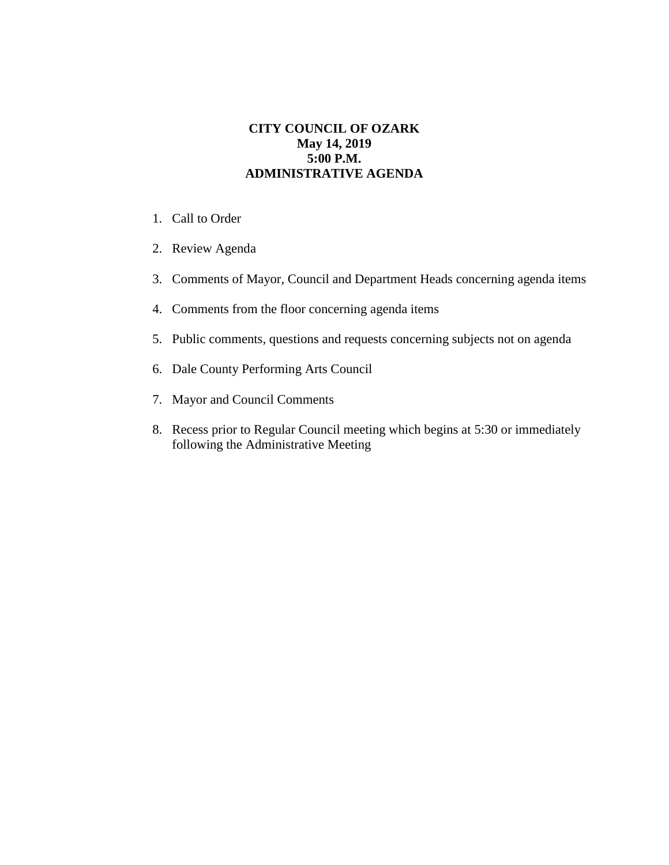## **CITY COUNCIL OF OZARK May 14, 2019 5:00 P.M. ADMINISTRATIVE AGENDA**

- 1. Call to Order
- 2. Review Agenda
- 3. Comments of Mayor, Council and Department Heads concerning agenda items
- 4. Comments from the floor concerning agenda items
- 5. Public comments, questions and requests concerning subjects not on agenda
- 6. Dale County Performing Arts Council
- 7. Mayor and Council Comments
- 8. Recess prior to Regular Council meeting which begins at 5:30 or immediately following the Administrative Meeting